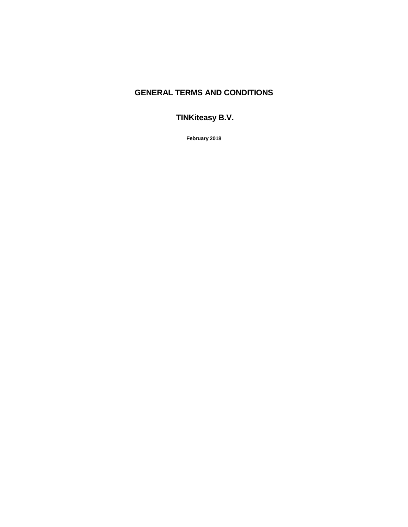### **GENERAL TERMS AND CONDITIONS**

**TINKiteasy B.V.**

**February 2018**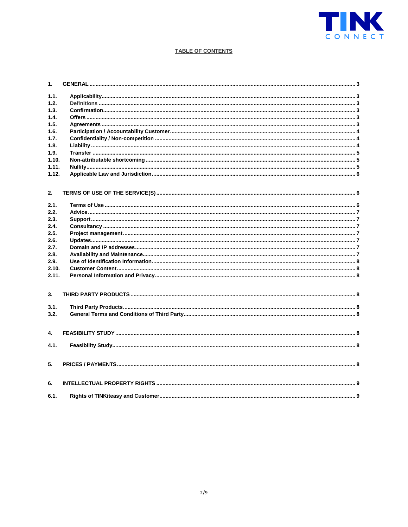

### **TABLE OF CONTENTS**

| 1.    |  |
|-------|--|
| 1.1.  |  |
| 1.2.  |  |
| 1.3.  |  |
| 1.4.  |  |
| 1.5.  |  |
| 1.6.  |  |
| 1.7.  |  |
| 1.8.  |  |
| 1.9.  |  |
| 1.10. |  |
| 1.11. |  |
| 1.12. |  |
|       |  |
|       |  |
| 2.    |  |
|       |  |
| 2.1.  |  |
| 2.2.  |  |
| 2.3.  |  |
| 2.4.  |  |
| 2.5.  |  |
| 2.6.  |  |
| 2.7.  |  |
| 2.8.  |  |
| 2.9.  |  |
| 2.10. |  |
| 2.11. |  |
|       |  |
|       |  |
| 3.    |  |
| 3.1.  |  |
| 3.2.  |  |
|       |  |
|       |  |
| 4.    |  |
|       |  |
| 4.1.  |  |
|       |  |
|       |  |
| 5.    |  |
|       |  |
| 6.    |  |
|       |  |
| 6.1.  |  |
|       |  |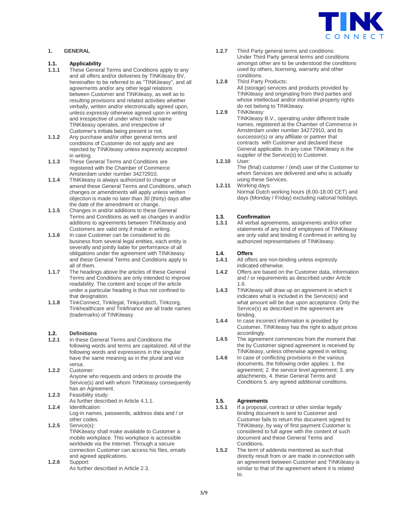

#### **1. GENERAL**

### **1.1. Applicability**

- **1.1.1** These General Terms and Conditions apply to any and all offers and/or deliveries by TINKiteasy BV, hereinafter to be referred to as "TINKiteasy", and all agreements and/or any other legal relations between Customer and TINKiteasy, as well as to resulting provisions and related activities whether verbally, written and/or electronically agreed upon, unless expressly otherwise agreed upon in writing and irrespective of under which trade name TINKiteasy operates, and irrespective of Customer's initials being present or not.
- **1.1.2** Any purchase and/or other general terms and conditions of Customer do not apply and are rejected by TINKiteasy unless expressly accepted in writing.
- **1.1.3** These General Terms and Conditions are registered with the Chamber of Commerce Amsterdam under number 34272910.
- **1.1.4** TINKiteasy is always authorized to change or amend these General Terms and Conditions, which changes or amendments will apply unless written objection is made no later than 30 (thirty) days after the date of the amendment or change.
- **1.1.5** Changes in and/or additions to these General Terms and Conditions as well as changes in and/or additions to agreements between TINKiteasy and Customers are valid only if made in writing.
- **1.1.6** In case Customer can be considered to do business from several legal entities, each entity is severally and jointly liable for performance of all obligations under the agreement with TINKiteasy and these General Terms and Conditions apply to all of them.
- **1.1.7** The headings above the articles of these General Terms and Conditions are only intended to improve readability. The content and scope of the article under a particular heading is thus not confined to that designation.
- **1.1.8** TinkConnect, Tinklegal, Tinkjuridisch, Tinkzorg, Tinkhealthcare and Tinkfinance are all trade names (trademarks) of TINKiteasy

### **1.2. Definitions**

- In these General Terms and Conditions the following words and terms are capitalized. All of the following words and expressions in the singular have the same meaning as in the plural and vice versa.
- **1.2.2** Customer: Anyone who requests and orders to provide the Service(s) and with whom TINKiteasy consequently has an Agreement. **1.2.3** Feasibility study:
- As further described in Article 4.1.1.
- **1.2.4** Identification: Log-in names, passwords, address data and / or
- other codes. **1.2.5** Service(s): TINKiteasy shall make available to Customer a mobile workplace. This workplace is accessible worldwide via the Internet. Through a secure connection Customer can access his files, emails and agreed applications.
- **1.2.6** Support: As further described in Article 2.3.
- **1.2.7** Third Party general terms and conditions: Under Third Party general terms and conditions amongst other are to be understood the conditions used by others, licensing, warranty and other conditions.
- **1.2.8** Third Party Products: All (storage) services and products provided by TINKiteasy and originating from third parties and whose intellectual and/or industrial property rights do not belong to TINKiteasy.
- **1.2.9** TINKiteasy: TINKiteasy B.V., operating under different trade names, registered at the Chamber of Commerce in Amsterdam under number 34272910, and its successor(s) or any affiliate or partner that contracts with Customer and declared these General applicable. In any case TINKiteasy is the supplier of the Service(s) to Customer.
- **1.2.10** User: The (final) customer / (end) user of the Customer to whom Services are delivered and who is actually
- using these Services. **1.2.11** Working days: Normal Dutch working hours (8.00-18.00 CET) and days (Monday / Friday) excluding national holidays.

### **1.3. Confirmation**

**1.3.1** All verbal agreements, assignments and/or other statements of any kind of employees of TINKiteasy are only valid and binding if confirmed in writing by authorized representatives of TINKiteasy.

#### **1.4. Offers**

- **1.4.1** All offers are non-binding unless expressly indicated otherwise.
- **1.4.2** Offers are based on the Customer data, information and / or requirements as described under Article 1.6.
- **1.4.3** TINKiteasy will draw up an agreement in which it indicates what is included in the Service(s) and what amount will be due upon acceptance. Only the Service(s) as described in the agreement are binding.
- **1.4.4** In case incorrect information is provided by Customer, TINKiteasy has the right to adjust prices accordingly.
- **1.4.5** The agreement commences from the moment that the by Customer signed agreement is received by TINKiteasy, unless otherwise agreed in writing.
- **1.4.6** In case of conflicting provisions in the various documents, the following order applies: 1. the agreement; 2. the service level agreement; 3. any attachments, 4. these General Terms and Conditions 5. any agreed additional conditions.

# **1.5. Agreements**

- If a proposal, contract or other similar legally binding document is sent to Customer and Customer fails to return this document signed to TINKiteasy, by way of first payment Customer is considered to full agree with the content of such document and these General Terms and Conditions.
- **1.5.2** The term of addenda mentioned as such that directly result from or are made in connection with an agreement between Customer and TINKiteasy is similar to that of the agreement where it is related to.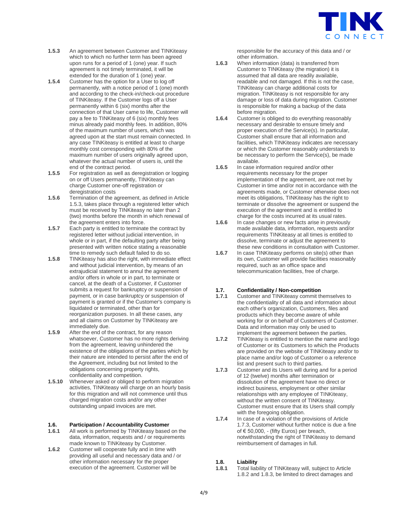

- **1.5.3** An agreement between Customer and TINKiteasy which to which no further term has been agreed upon runs for a period of 1 (one) year. If such agreement is not timely terminated, it will be extended for the duration of 1 (one) year.
- **1.5.4** Customer has the option for a User to log off permanently, with a notice period of 1 (one) month and according to the check-in/check-out procedure of TINKiteasy. If the Customer logs off a User permanently within 6 (six) months after the connection of that User came to life, Customer will pay a fee to TINKiteasy of 6 (six) monthly fees minus already paid monthly fees. In addition, 80% of the maximum number of users, which was agreed upon at the start must remain connected. In any case TINKiteasy is entitled at least to charge monthly cost corresponding with 80% of the maximum number of users originally agreed upon, whatever the actual number of users is, until the end of the contract period.
- **1.5.5** For registration as well as deregistration or logging on or off Users permanently, TINKiteasy can charge Customer one-off registration or deregistration costs
- **1.5.6** Termination of the agreement, as defined in Article 1.5.3, takes place through a registered letter which must be received by TINKiteasy no later than 2 (two) months before the month in which renewal of the agreement enters into force.
- **1.5.7** Each party is entitled to terminate the contract by registered letter without judicial intervention, in whole or in part, if the defaulting party after being presented with written notice stating a reasonable time to remedy such default failed to do so.
- **1.5.8** TINKiteasy has also the right, with immediate effect and without judicial intervention, by means of an extrajudicial statement to annul the agreement and/or offers in whole or in part, to terminate or cancel, at the death of a Customer, if Customer submits a request for bankruptcy or suspension of payment, or in case bankruptcy or suspension of payment is granted or if the Customer's company is liquidated or terminated, other than for reorganization purposes. In all these cases, any and all claims on Customer by TINKiteasy are immediately due.
- **1.5.9** After the end of the contract, for any reason whatsoever, Customer has no more rights deriving from the agreement, leaving unhindered the existence of the obligations of the parties which by their nature are intended to persist after the end of the Agreement, including but not limited to the obligations concerning property rights, confidentiality and competition.
- **1.5.10** Whenever asked or obliged to perform migration activities, TINKiteasy will charge on an hourly basis for this migration and will not commence until thus charged migration costs and/or any other outstanding unpaid invoices are met.

# **1.6. Participation / Accountability Customer**

- **1.6.1** All work is performed by TINKiteasy based on the data, information, requests and / or requirements made known to TINKiteasy by Customer.
- **1.6.2** Customer will cooperate fully and in time with providing all useful and necessary data and / or other information necessary for the proper execution of the agreement. Customer will be

responsible for the accuracy of this data and / or other information.

- **1.6.3** When information (data) is transferred from Customer to TINKiteasy (the migration) it is assumed that all data are readily available, readable and not damaged. If this is not the case, TINKiteasy can charge additional costs for migration. TINKiteasy is not responsible for any damage or loss of data during migration. Customer is responsible for making a backup of the data before migration.
- **1.6.4** Customer is obliged to do everything reasonably necessary and desirable to ensure timely and proper execution of the Service(s). In particular, Customer shall ensure that all information and facilities, which TINKiteasy indicates are necessary or which the Customer reasonably understands to be necessary to perform the Service(s), be made available.
- **1.6.5** In case information required and/or other requirements necessary for the proper implementation of the agreement, are not met by Customer in time and/or not in accordance with the agreements made, or Customer otherwise does not meet its obligations, TINKiteasy has the right to terminate or dissolve the agreement or suspend the execution of the agreement and is entitled to charge for the costs incurred at its usual rates.
- **1.6.6** In case changes or new facts arise in previously made available data, information, requests and/or requirements TINKiteasy at all times is entitled to dissolve, terminate or adjust the agreement to these new conditions in consultation with Customer.
- **1.6.7** In case TINKiteasy performs on site(s) other than its own, Customer will provide facilities reasonably required, such as an office space and telecommunication facilities, free of charge.

#### **1.7. Confidentiality / Non-competition**

- **1.7.1** Customer and TINKiteasy commit themselves to the confidentiality of all data and information about each other's organization, Customers, files and products which they become aware of while working for or on behalf of Customers of Customer. Data and information may only be used to implement the agreement between the parties.
- **1.7.2** TINKiteasy is entitled to mention the name and logo of Customer or its Customers to which the Products are provided on the website of TINKiteasy and/or to place name and/or logo of Customer o a reference list and present such to third parties.
- **1.7.3** Customer and its Users will during and for a period of 12 (twelve) months after termination or dissolution of the agreement have no direct or indirect business, employment or other similar relationships with any employee of TINKiteasy, without the written consent of TINKiteasy. Customer must ensure that its Users shall comply with the foregoing obligation.
- **1.7.4** In case of a violation of the provisions of Article 1.7.3, Customer without further notice is due a fine of € 50,000, - (fifty Euros) per breach, notwithstanding the right of TINKiteasy to demand reimbursement of damages in full.

### **1.8. Liability**

**1.8.1** Total liability of TINKiteasy will, subject to Article 1.8.2 and 1.8.3, be limited to direct damages and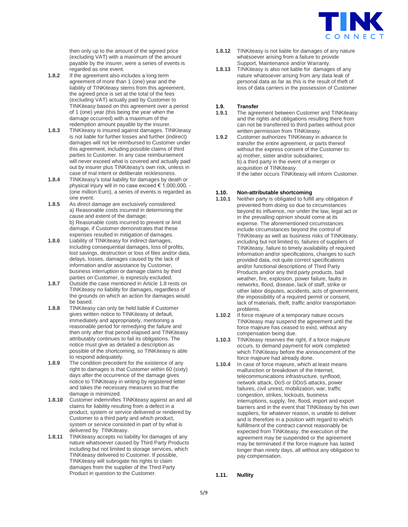

then only up to the amount of the agreed price (excluding VAT) with a maximum of the amount payable by the insurer, were a series of events is regarded as one event.

- **1.8.2** If the agreement also includes a long term agreement of more than 1 (one) year and the liability of TINKiteasy stems from this agreement, the agreed price is set at the total of the fees (excluding VAT) actually paid by Customer to TINKiteasy based on this agreement over a period of 1 (one) year (this being the year when the damage occurred) with a maximum of the redemption amount payable by the insurer.
- **1.8.3** TINKiteasy is insured against damages. TINKiteasy is not liable for further losses and further (indirect) damages will not be reimbursed to Customer under this agreement, including possible claims of third parties to Customer. In any case reimbursement will never exceed what is covered and actually paid out by insurer plus TINKiteasy's own risk, unless in case of mal intent or deliberate recklessness.
- **1.8.4** TINKiteasy's total liability for damages by death or physical injury will in no case exceed € 1,000,000, - (one million Euro), a series of events is regarded as one event.
- **1.8.5** As direct damage are exclusively considered: a) Reasonable costs incurred in determining the cause and extent of the damage; b) Reasonable costs incurred to prevent or limit damage, if Customer demonstrates that these expenses resulted in mitigation of damages.
- **1.8.6** Liability of TINKiteasy for indirect damages, including consequential damages, loss of profits, lost savings, destruction or loss of files and/or data, delays, losses, damages caused by the lack of information and/or assistance by Customer, business interruption or damage claims by third parties on Customer, is expressly excluded.
- **1.8.7** Outside the case mentioned in Article 1.8 rests on TINKiteasy no liability for damages, regardless of the grounds on which an action for damages would be based.
- **1.8.8** TINKiteasy can only be held liable if Customer gives written notice to TINKiteasy of default, immediately and appropriately, mentioning a reasonable period for remedying the failure and then only after that period elapsed and TINKiteasy attributably continues to fail its obligations. The notice must give as detailed a description as possible of the shortcoming, so TINKiteasy is able to respond adequately.
- **1.8.9** The condition precedent for the existence of any right to damages is that Customer within 60 (sixty) days after the occurrence of the damage gives notice to TINKiteasy in writing by registered letter and takes the necessary measures so that the damage is minimized.
- **1.8.10** Customer indemnifies TINKiteasy against an and all claims for liability resulting from a defect in a product, system or service delivered or rendered by Customer to a third party and which product, system or service consisted in part of by what is delivered by TINKiteasy.
- **1.8.11** TINKiteasy accepts no liability for damages of any nature whatsoever caused by Third Party Products including but not limited to storage services, which TINKiteasy delivered to Customer. If possible, TINKiteasy will subrogate his rights to claim damages from the supplier of the Third Party Product in question to the Customer.
- **1.8.12** TINKiteasy is not liable for damages of any nature whatsoever arising from a failure to provide Support, Maintenance and/or Warranty.
- **1.8.13** TINKiteasy is also not liable for damages of any nature whatsoever arising from any data leak of personal data as far as this is the result of theft of loss of data carriers in the possession of Customer

# **1.9. Transfer**

- **1.9.1** The agreement between Customer and TINKiteasy and the rights and obligations resulting there from can not be transferred to third parties without prior written permission from TINKiteasy.
- **1.9.2** Customer authorizes TINKiteasy in advance to transfer the entire agreement, or parts thereof without the express consent of the Customer to: a) mother, sister and/or subsidiaries; b) a third party in the event of a merger or acquisition of TINKiteasy. If the latter occurs TINKiteasy will inform Customer.

## **1.10. Non-attributable shortcoming**

- **1.10.1** Neither party is obligated to fulfill any obligation if prevented from doing so due to circumstances beyond its influence, nor under the law, legal act or in the prevailing opinion should come at its expense. The aforementioned circumstances include circumstances beyond the control of TINKiteasy as well as business risks of TINKiteasy, including but not limited to, failures of suppliers of TINKiteasy, failure to timely availability of required information and/or specifications, changes to such provided data, not quite correct specifications and/or functional descriptions of Third Party Products and/or any third party products, bad weather, fire, explosion, power failure, faults in networks, flood, disease, lack of staff, strike or other labor disputes, accidents, acts of government, the impossibility of a required permit or consent, lack of materials, theft, traffic and/or transportation problems.
- **1.10.2** If force majeure of a temporary nature occurs TINKiteasy may suspend the agreement until the force majeure has ceased to exist, without any compensation being due.
- **1.10.3** TINKiteasy reserves the right, if a force majeure occurs, to demand payment for work completed which TINKiteasy before the announcement of the force majeure had already done.
- **1.10.4** In case of force majeure, which at least means malfunction or breakdown of the Internet, telecommunications infrastructure, synflood, network attack, DoS or DDoS attacks, power failures, civil unrest, mobilization, war, traffic congestion, strikes, lockouts, business interruptions, supply, fire, flood, import and export barriers and in the event that TINKiteasy by his own suppliers, for whatever reason, is unable to deliver and is therefore in a position with regard to which fulfillment of the contract cannot reasonably be expected from TINKiteasy, the execution of the agreement may be suspended or the agreement may be terminated if the force majeure has lasted longer than ninety days, all without any obligation to pay compensation.

#### **1.11. Nullity**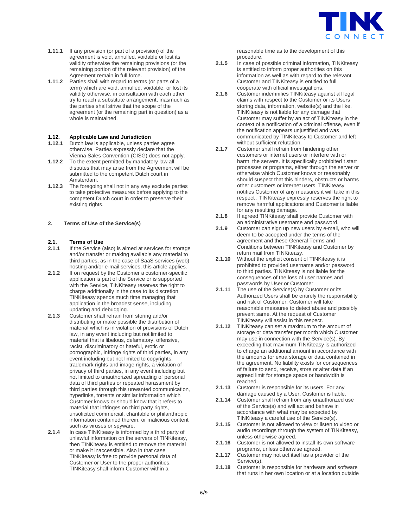

- **1.11.1** If any provision (or part of a provision) of the agreement is void, annulled, voidable or lost its validity otherwise the remaining provisions (or the remaining portion of the relevant provision) of the Agreement remain in full force.
- **1.11.2** Parties shall with regard to terms (or parts of a term) which are void, annulled, voidable, or lost its validity otherwise, in consultation with each other try to reach a substitute arrangement, inasmuch as the parties shall strive that the scope of the agreement (or the remaining part in question) as a whole is maintained.

### **1.12. Applicable Law and Jurisdiction**

- Dutch law is applicable, unless parties agree otherwise. Parties expressly declare that the Vienna Sales Convention (CISG) does not apply.
- **1.12.2** To the extent permitted by mandatory law all disputes that may arise from the Agreement will be submitted to the competent Dutch court in Amsterdam.
- **1.12.3** The foregoing shall not in any way exclude parties to take protective measures before applying to the competent Dutch court in order to preserve their existing rights.

#### **2. Terms of Use of the Service(s)**

### **2.1. Terms of Use**

- **2.1.1** If the Service (also) is aimed at services for storage and/or transfer or making available any material to third parties, as in the case of SaaS services (web) hosting and/or e-mail services, this article applies.
- **2.1.2** If on request by the Customer a customer-specific application is part of the Service or is supported with the Service, TINKiteasy reserves the right to charge additionally in the case to its discretion TINKiteasy spends much time managing that application in the broadest sense, including updating and debugging.
- **2.1.3** Customer shall refrain from storing and/or distributing or make possible the distribution of material which is in violation of provisions of Dutch law, in any event including but not limited to material that is libelous, defamatory, offensive, racist, discriminatory or hateful, erotic or pornographic, infringe rights of third parties, in any event including but not limited to copyrights, trademark rights and image rights, a violation of privacy of third parties, in any event including but not limited to unauthorized spreading of personal data of third parties or repeated harassment by third parties through this unwanted communication, hyperlinks, torrents or similar information which Customer knows or should know that it refers to material that infringes on third party rights, unsolicited commercial, charitable or philanthropic information contained therein, or malicious content such as viruses or spyware.
- **2.1.4** In case TINKiteasy is informed by a third party of unlawful information on the servers of TINKiteasy, then TINKiteasy is entitled to remove the material or make it inaccessible. Also in that case TINKiteasy is free to provide personal data of Customer or User to the proper authorities. TINKiteasy shall inform Customer within a

reasonable time as to the development of this procedure.

- **2.1.5** In case of possible criminal information, TINKiteasy is entitled to inform proper authorities on this information as well as with regard to the relevant Customer and TINKiteasy is entitled to full cooperate with official investigations.
- **2.1.6** Customer indemnifies TINKiteasy against all legal claims with respect to the Customer or its Users storing data, information, website(s) and the like. TINKiteasy is not liable for any damage that Customer may suffer by an act of TINKiteasy in the context of a notification of a criminal offense, even if the notification appears unjustified and was communicated by TINKiteasy to Customer and left without sufficient refutation.
- **2.1.7** Customer shall refrain from hindering other customers or internet users or interfere with or harm the servers. It is specifically prohibited t start processes or programs, either through the server or otherwise which Customer knows or reasonably should suspect that this hinders, obstructs or harms other customers or internet users. TINKiteasy notifies Customer of any measures it will take in this respect . TINKiteasy expressly reserves the right to remove harmful applications and Customer is liable for any resulting damage.
- **2.1.8** If agreed TINKiteasy shall provide Customer with an administrative username and password.
- **2.1.9** Customer can sign up new users by e-mail, who will deem to be accepted under the terms of the agreement and these General Terms and Conditions between TINKiteasy and Customer by return mail from TINKiteasy.
- **2.1.10** Without the explicit consent of TINKiteasy it is prohibited to provided username and/or password to third parties. TINKiteasy is not liable for the consequences of the loss of user names and passwords by User or Customer.
- **2.1.11** The use of the Service(s) by Customer or its Authorized Users shall be entirely the responsibility and risk of Customer. Customer will take reasonable measures to detect abuse and possibly prevent same. At the request of Customer TINKiteasy will assist in this respect.
- **2.1.12** TINKiteasy can set a maximum to the amount of storage or data transfer per month which Customer may use in connection with the Service(s). By exceeding that maximum TINKiteasy is authorized to charge an additional amount in accordance with the amounts for extra storage or data contained in the agreement. No liability exists for consequences of failure to send, receive, store or alter data if an agreed limit for storage space or bandwidth is reached.
- **2.1.13** Customer is responsible for its users. For any damage caused by a User, Customer is liable.
- **2.1.14** Customer shall refrain from any unauthorized use of the Service(s) and will act and behave in accordance with what may be expected by TINKiteasy a careful use of the Service(s).
- **2.1.15** Customer is not allowed to view or listen to video or audio recordings through the system of TINKiteasy, unless otherwise agreed.
- **2.1.16** Customer is not allowed to install its own software programs, unless otherwise agreed.
- **2.1.17** Customer may not act itself as a provider of the Service(s).
- **2.1.18** Customer is responsible for hardware and software that runs in her own location or at a location outside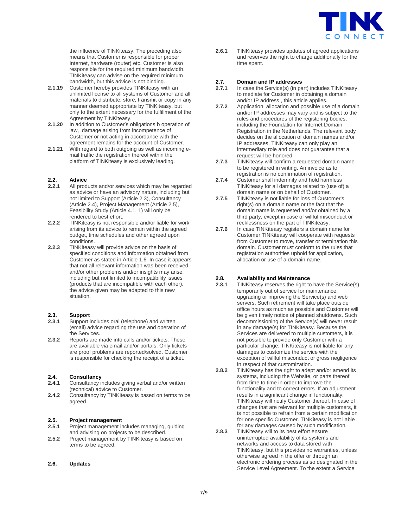

the influence of TINKiteasy. The preceding also means that Customer is responsible for proper Internet, hardware (router) etc. Customer is also responsible for the required minimum bandwidth. TINKiteasy can advise on the required minimum bandwidth, but this advice is not binding.

- **2.1.19** Customer hereby provides TINKiteasy with an unlimited license to all systems of Customer and all materials to distribute, store, transmit or copy in any manner deemed appropriate by TINKiteasy, but only to the extent necessary for the fulfillment of the Agreement by TINKiteasy.
- **2.1.20** In addition to Customer's obligations b operation of law, damage arising from incompetence of Customer or not acting in accordance with the agreement remains for the account of Customer.
- **2.1.21** With regard to both outgoing as well as incoming email traffic the registration thereof within the platform of TINKiteasy is exclusively leading.

# **2.2. Advice**

- **2.2.1** All products and/or services which may be regarded as advice or have an advisory nature, including but not limited to Support (Article 2.3), Consultancy (Article 2.4), Project Management (Article 2.5), Feasibility Study (Article 4.1. 1) will only be rendered to best effort.
- **2.2.2** TINKiteasy is not responsible and/or liable for work arising from its advice to remain within the agreed budget, time schedules and other agreed upon conditions.
- **2.2.3** TINKiteasy will provide advice on the basis of specified conditions and information obtained from Customer as stated in Article 1.6. In case it appears that not all relevant information was been received and/or other problems and/or insights may arise, including but not limited to incompatibility issues (products that are incompatible with each other), the advice given may be adapted to this new situation.

# **2.3. Support**

- **2.3.1** Support includes oral (telephone) and written (email) advice regarding the use and operation of the Services.
- **2.3.2** Reports are made into calls and/or tickets. These are available via email and/or portals. Only tickets are proof problems are reported/solved. Customer is responsible for checking the receipt of a ticket.

### **2.4. Consultancy**

- **2.4.1** Consultancy includes giving verbal and/or written (technical) advice to Customer.
- **2.4.2** Consultancy by TINKiteasy is based on terms to be agreed.

#### **2.5. Project management**

- **2.5.1** Project management includes managing, guiding and advising on projects to be described.
- **2.5.2** Project management by TINKiteasy is based on terms to be agreed.

#### **2.6. Updates**

**2.6.1** TINKiteasy provides updates of agreed applications and reserves the right to charge additionally for the time spent.

- **2.7. Domain and IP addresses 2.7.1** In case the Service(s) (in part) includes TINKiteasy to mediate for Customer in obtaining a domain and/or IP address , this article applies.
- **2.7.2** Application, allocation and possible use of a domain and/or IP addresses may vary and is subject to the rules and procedures of the registering bodies, including the Foundation for Internet Domain Registration in the Netherlands. The relevant body decides on the allocation of domain names and/or IP addresses. TINKiteasy can only play an intermediary role and does not guarantee that a request will be honored.
- **2.7.3** TINKiteasy will confirm a requested domain name to be registered in writing. An invoice as to registration is no confirmation of registration.
- **2.7.4** Customer shall indemnify and hold harmless TINKiteasy for all damages related to (use of) a domain name or on behalf of Customer.
- **2.7.5** TINKiteasy is not liable for loss of Customer's right(s) on a domain name or the fact that the domain name is requested and/or obtained by a third party, except in case of willful misconduct or recklessness on the part of TINKiteasy.
- **2.7.6** In case TINKiteasy registers a domain name for Customer TINKiteasy will cooperate with requests from Customer to move, transfer or termination this domain. Customer must conform to the rules that registration authorities uphold for application, allocation or use of a domain name.

## **2.8. Availability and Maintenance**<br>**2.8.1** TINKiteasy reserves the right to

- **2.8.1** TINKiteasy reserves the right to have the Service(s) temporarily out of service for maintenance, upgrading or improving the Service(s) and web servers. Such retirement will take place outside office hours as much as possible and Customer will be given timely notice of planned shutdowns. Such decommissioning of the Service(s) will never result in any damage(s) for TINKiteasy. Because the Services are delivered to multiple customers, it is not possible to provide only Customer with a particular change. TINKiteasy is not liable for any damages to customize the service with the exception of willful misconduct or gross negligence in respect of that customization.
- **2.8.2** TINKiteasy has the right to adept and/or amend its systems, including the Website, or parts thereof from time to time in order to improve the functionality and to correct errors. If an adjustment results in a significant change in functionality, TINKiteasy will notify Customer thereof. In case of changes that are relevant for multiple customers, it is not possible to refrain from a certain modification for one specific Customer. TINKiteasy is not liable for any damages caused by such modification.
- **2.8.3** TINKiteasy will to its best effort ensure uninterrupted availability of its systems and networks and access to data stored with TINKiteasy, but this provides no warranties, unless otherwise agreed in the offer or through an electronic ordering process as so designated in the Service Level Agreement. To the extent a Service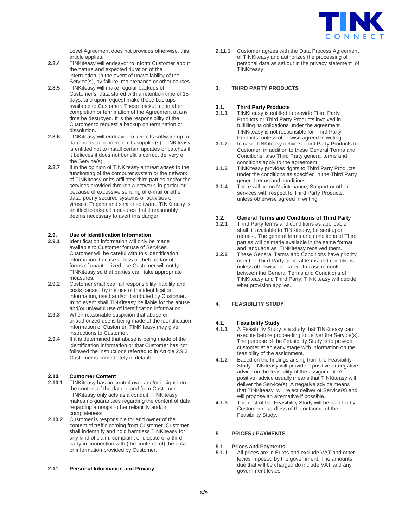

Level Agreement does not provides otherwise, this article applies.

- **2.8.4** TINKiteasy will endeavor to inform Customer about the nature and expected duration of the interruption, in the event of unavailability of the Service(s), by failure, maintenance or other causes.
- **2.8.5** TINKiteasy will make regular backups of Customer's data stored with a retention time of 15 days, and upon request make those backups available to Customer. These backups can after completion or termination of the Agreement at any time be destroyed. It is the responsibility of the Customer to request a backup on termination or dissolution.
- **2.8.6** TINKiteasy will endeavor to keep its software up to date but is dependent on its supplier(s). TINKiteasy is entitled not to install certain updates or patches if it believes it does not benefit a correct delivery of the Service(s).
- **2.8.7** If in the opinion of TINKiteasy a threat arises to the functioning of the computer system or the network of TINKiteasy or its affiliated third parties and/or the services provided through a network, in particular because of excessive sending of e-mail or other data, poorly secured systems or activities of viruses, Trojans and similar software, TINKiteasy is entitled to take all measures that it reasonably deems necessary to avert this danger.

### **2.9. Use of Identification Information**

- **2.9.1** Identification information will only be made available to Customer for use of Services. Customer will be careful with this identification information. In case of loss or theft and/or other forms of unauthorized use Customer will notify TINKiteasy so that parties can take appropriate measures.
- **2.9.2** Customer shall bear all responsibility, liability and costs caused by the use of the identification information, used and/or distributed by Customer. In no event shall TINKiteasy be liable for the abuse and/or unlawful use of identification information.
- **2.9.3** When reasonable suspicion that abuse or unauthorized use is being made of the identification information of Customer, TINKiteasy may give instructions to Customer.
- **2.9.4** If it is determined that abuse is being made of the identification information or that Customer has not followed the instructions referred to in Article 2.9.3 Customer is immediately in default.

#### **2.10. Customer Content**

- **2.10.1** TINKiteasy has no control over and/or insight into the content of the data to and from Customer. TINKiteasy only acts as a conduit. TINKiteasy makes no guarantees regarding the content of data regarding amongst other reliability and/or completeness.
- **2.10.2** Customer is responsible for and owner of the content of traffic coming from Customer. Customer shall indemnify and hold harmless TINKiteasy for any kind of claim, complaint or dispute of a third party in connection with (the contents of) the data or information provided by Customer.

#### **2.11. Personal Information and Privacy**

**2.11.1** Customer agrees with the Data Process Agreement of TINKiteasy and authorizes the processing of personal data as set out in the privacy statement of TINKiteasy.

#### **3. THIRD PARTY PRODUCTS**

## **3.1. Third Party Products**

- **3.1.1** TINKiteasy is entitled to provide Third Party Products or Third Party Products involved in fulfilling its obligations under the agreement. TINKiteasy is not responsible for Third Party Products, unless otherwise agreed in writing.
- **3.1.2** In case TINKiteasy delivers Third Party Products to Customer, in addition to these General Terms and Conditions also Third Party general terms and conditions apply to the agreement.
- **3.1.3** TINKiteasy provides rights to Third Party Products under the conditions as specified in the Third Party general terms and conditions.
- **3.1.4** There will be no Maintenance, Support or other services with respect to Third Party Products, unless otherwise agreed in writing.

## **3.2. General Terms and Conditions of Third Party**

- **3.2.1** Third Party terms and conditions as applicable shall, if available to TINKiteasy, be sent upon request. The general terms and conditions of Third parties will be made available in the same format and language as TINKiteasy received them.
- **3.2.2** These General Terms and Conditions have priority over the Third Party general terms and conditions unless otherwise indicated. In case of conflict between the General Terms and Conditions of TINKiteasy and Third Party, TINKiteasy will decide what provision applies.

#### **4. FEASIBILITY STUDY**

### **4.1. Feasibility Study**

- **4.1.1** A Feasibility Study is a study that TINKiteasy can execute before proceeding to deliver the Service(s). The purpose of the Feasibility Study is to provide customer at an early stage with information on the feasibility of the assignment.
- **4.1.2** Based on the findings arising from the Feasibility Study TINKiteasy will provide a positive or negative advice on the feasibility of the assignment. A positive advice usually means that TINKiteasy will deliver the Service(s). A negative advice means that TINKiteasy will reject deliver of Service(s) and will propose an alternative if possible.
- **4.1.3** The cost of the Feasibility Study will be paid for by Customer regardless of the outcome of the Feasibility Study.

#### **5. PRICES / PAYMENTS**

#### **5.1 Prices and Payments**

**5.1.1** All prices are in Euros and exclude VAT and other levies imposed by the government. The amounts due that will be charged do include VAT and any government levies.